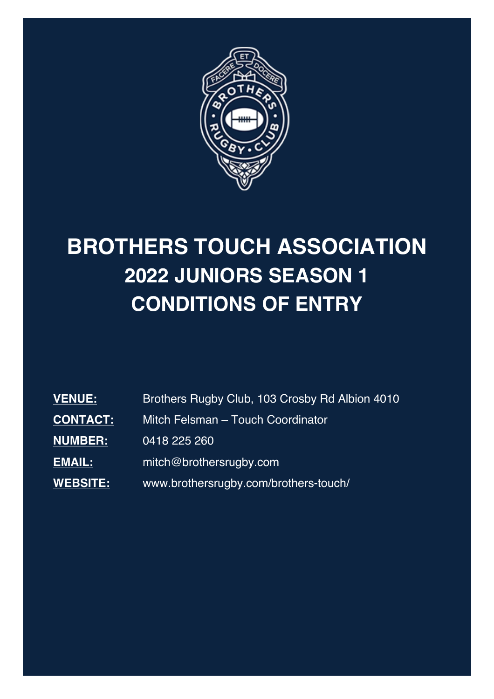

# **BROTHERS TOUCH ASSOCIATION 2022 JUNIORS SEASON 1 CONDITIONS OF ENTRY**

| <b>VENUE:</b>   | Brothers Rugby Club, 103 Crosby Rd Albion 4010 |  |
|-----------------|------------------------------------------------|--|
| <b>CONTACT:</b> | Mitch Felsman - Touch Coordinator              |  |
| <b>NUMBER:</b>  | 0418 225 260                                   |  |
| EMAIL:          | mitch@brothersrugby.com                        |  |
| WEBSITE:        | www.brothersrugby.com/brothers-touch/          |  |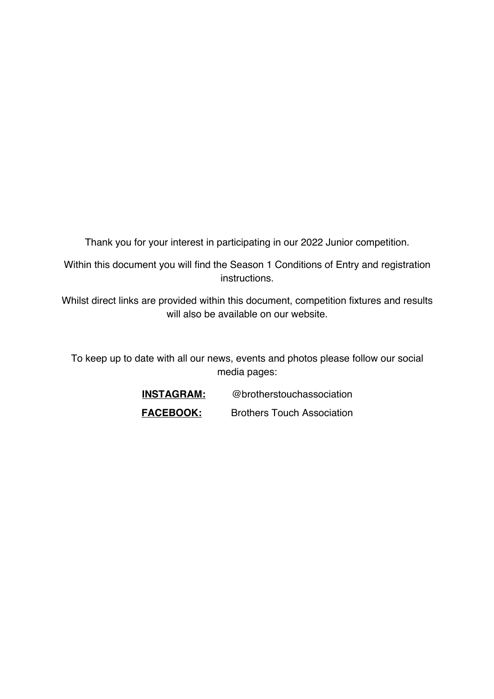Thank you for your interest in participating in our 2022 Junior competition.

Within this document you will find the Season 1 Conditions of Entry and registration instructions.

Whilst direct links are provided within this document, competition fixtures and results will also be available on our website.

To keep up to date with all our news, events and photos please follow our social media pages:

| <b>INSTAGRAM:</b> | @brotherstouchassociation         |
|-------------------|-----------------------------------|
| <b>FACEBOOK:</b>  | <b>Brothers Touch Association</b> |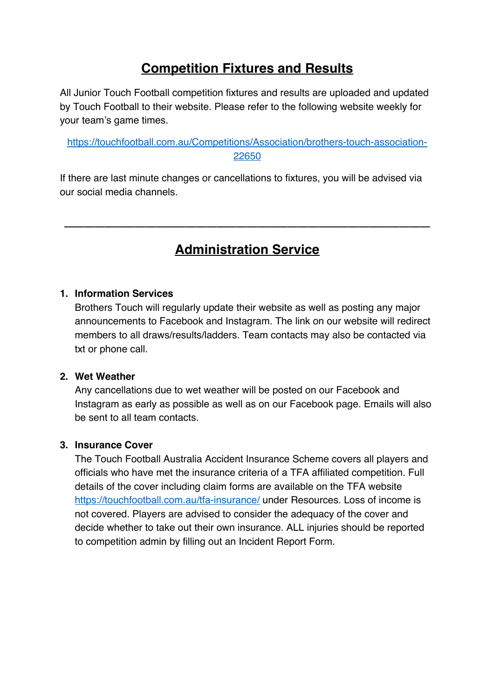# **Competition Fixtures and Results**

All Junior Touch Football competition fixtures and results are uploaded and updated by Touch Football to their website. Please refer to the following website weekly for your team's game times.

```
https://touchfootball.com.au/Competitions/Association/brothers-touch-association-
                         22650
```
If there are last minute changes or cancellations to fixtures, you will be advised via our social media channels.

# **Administration Service**

 $\frac{1}{2}$  ,  $\frac{1}{2}$  ,  $\frac{1}{2}$  ,  $\frac{1}{2}$  ,  $\frac{1}{2}$  ,  $\frac{1}{2}$  ,  $\frac{1}{2}$  ,  $\frac{1}{2}$  ,  $\frac{1}{2}$  ,  $\frac{1}{2}$  ,  $\frac{1}{2}$  ,  $\frac{1}{2}$  ,  $\frac{1}{2}$  ,  $\frac{1}{2}$  ,  $\frac{1}{2}$  ,  $\frac{1}{2}$  ,  $\frac{1}{2}$  ,  $\frac{1}{2}$  ,  $\frac{1$ 

#### **1. Information Services**

Brothers Touch will regularly update their website as well as posting any major announcements to Facebook and Instagram. The link on our website will redirect members to all draws/results/ladders. Team contacts may also be contacted via txt or phone call.

#### **2. Wet Weather**

Any cancellations due to wet weather will be posted on our Facebook and Instagram as early as possible as well as on our Facebook page. Emails will also be sent to all team contacts.

#### **3. Insurance Cover**

The Touch Football Australia Accident Insurance Scheme covers all players and officials who have met the insurance criteria of a TFA affiliated competition. Full details of the cover including claim forms are available on the TFA website https://touchfootball.com.au/tfa-insurance/ under Resources. Loss of income is not covered. Players are advised to consider the adequacy of the cover and decide whether to take out their own insurance. ALL injuries should be reported to competition admin by filling out an Incident Report Form.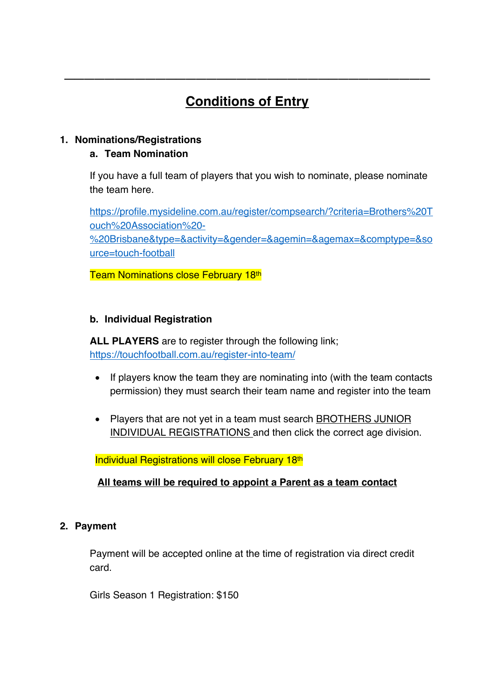# **Conditions of Entry**

 $\frac{1}{2}$  ,  $\frac{1}{2}$  ,  $\frac{1}{2}$  ,  $\frac{1}{2}$  ,  $\frac{1}{2}$  ,  $\frac{1}{2}$  ,  $\frac{1}{2}$  ,  $\frac{1}{2}$  ,  $\frac{1}{2}$  ,  $\frac{1}{2}$  ,  $\frac{1}{2}$  ,  $\frac{1}{2}$  ,  $\frac{1}{2}$  ,  $\frac{1}{2}$  ,  $\frac{1}{2}$  ,  $\frac{1}{2}$  ,  $\frac{1}{2}$  ,  $\frac{1}{2}$  ,  $\frac{1$ 

# **1. Nominations/Registrations**

# **a. Team Nomination**

If you have a full team of players that you wish to nominate, please nominate the team here.

https://profile.mysideline.com.au/register/compsearch/?criteria=Brothers%20T ouch%20Association%20- %20Brisbane&type=&activity=&gender=&agemin=&agemax=&comptype=&so

urce=touch-football

**Team Nominations close February 18th** 

# **b. Individual Registration**

**ALL PLAYERS** are to register through the following link; https://touchfootball.com.au/register-into-team/

- If players know the team they are nominating into (with the team contacts permission) they must search their team name and register into the team
- Players that are not yet in a team must search **BROTHERS JUNIOR** INDIVIDUAL REGISTRATIONS and then click the correct age division.

Individual Registrations will close February 18th

# **All teams will be required to appoint a Parent as a team contact**

# **2. Payment**

Payment will be accepted online at the time of registration via direct credit card.

Girls Season 1 Registration: \$150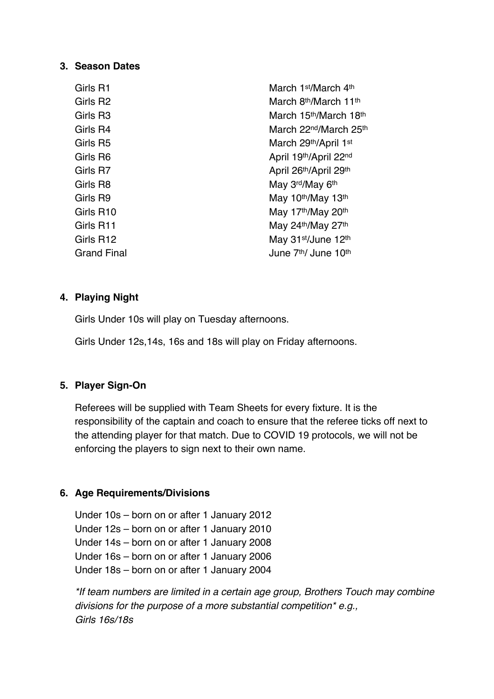#### **3. Season Dates**

| Girls R1    | March 1 <sup>st</sup> /March 4 <sup>th</sup>   |
|-------------|------------------------------------------------|
| Girls R2    | March 8th/March 11th                           |
| Girls R3    | March 15th/March 18th                          |
| Girls R4    | March 22 <sup>nd</sup> /March 25 <sup>th</sup> |
| Girls R5    | March 29th/April 1st                           |
| Girls R6    | April 19th/April 22nd                          |
| Girls R7    | April 26th/April 29th                          |
| Girls R8    | May 3rd/May 6th                                |
| Girls R9    | May 10th/May 13th                              |
| Girls R10   | May 17th/May 20th                              |
| Girls R11   | May 24th/May 27th                              |
| Girls R12   | May 31 <sup>st</sup> /June 12 <sup>th</sup>    |
| Grand Final | June 7 <sup>th</sup> / June 10 <sup>th</sup>   |

#### **4. Playing Night**

Girls Under 10s will play on Tuesday afternoons.

Girls Under 12s,14s, 16s and 18s will play on Friday afternoons.

#### **5. Player Sign-On**

Referees will be supplied with Team Sheets for every fixture. It is the responsibility of the captain and coach to ensure that the referee ticks off next to the attending player for that match. Due to COVID 19 protocols, we will not be enforcing the players to sign next to their own name.

# **6. Age Requirements/Divisions**

Under 10s – born on or after 1 January 2012 Under 12s – born on or after 1 January 2010 Under 14s – born on or after 1 January 2008 Under 16s – born on or after 1 January 2006 Under 18s – born on or after 1 January 2004

*\*If team numbers are limited in a certain age group, Brothers Touch may combine divisions for the purpose of a more substantial competition\* e.g., Girls 16s/18s*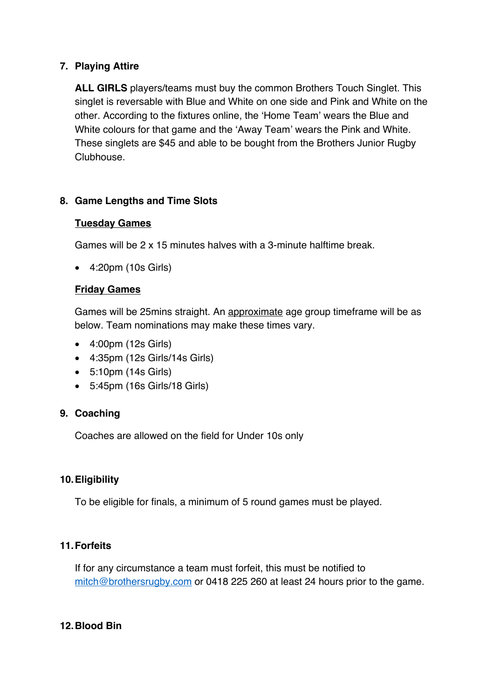# **7. Playing Attire**

**ALL GIRLS** players/teams must buy the common Brothers Touch Singlet. This singlet is reversable with Blue and White on one side and Pink and White on the other. According to the fixtures online, the 'Home Team' wears the Blue and White colours for that game and the 'Away Team' wears the Pink and White. These singlets are \$45 and able to be bought from the Brothers Junior Rugby Clubhouse.

# **8. Game Lengths and Time Slots**

#### **Tuesday Games**

Games will be 2 x 15 minutes halves with a 3-minute halftime break.

• 4:20pm (10s Girls)

#### **Friday Games**

Games will be 25mins straight. An approximate age group timeframe will be as below. Team nominations may make these times vary.

- 4:00pm (12s Girls)
- 4:35pm (12s Girls/14s Girls)
- 5:10pm (14s Girls)
- 5:45pm (16s Girls/18 Girls)

# **9. Coaching**

Coaches are allowed on the field for Under 10s only

# **10.Eligibility**

To be eligible for finals, a minimum of 5 round games must be played.

# **11.Forfeits**

If for any circumstance a team must forfeit, this must be notified to mitch@brothersrugby.com or 0418 225 260 at least 24 hours prior to the game.

#### **12.Blood Bin**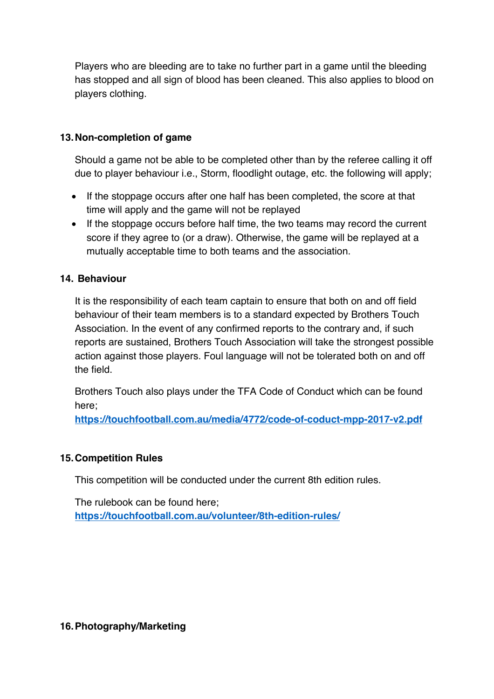Players who are bleeding are to take no further part in a game until the bleeding has stopped and all sign of blood has been cleaned. This also applies to blood on players clothing.

#### **13.Non-completion of game**

Should a game not be able to be completed other than by the referee calling it off due to player behaviour i.e., Storm, floodlight outage, etc. the following will apply;

- If the stoppage occurs after one half has been completed, the score at that time will apply and the game will not be replayed
- If the stoppage occurs before half time, the two teams may record the current score if they agree to (or a draw). Otherwise, the game will be replayed at a mutually acceptable time to both teams and the association.

# **14. Behaviour**

It is the responsibility of each team captain to ensure that both on and off field behaviour of their team members is to a standard expected by Brothers Touch Association. In the event of any confirmed reports to the contrary and, if such reports are sustained, Brothers Touch Association will take the strongest possible action against those players. Foul language will not be tolerated both on and off the field.

Brothers Touch also plays under the TFA Code of Conduct which can be found here;

**https://touchfootball.com.au/media/4772/code-of-coduct-mpp-2017-v2.pdf**

#### **15.Competition Rules**

This competition will be conducted under the current 8th edition rules.

The rulebook can be found here; **https://touchfootball.com.au/volunteer/8th-edition-rules/**